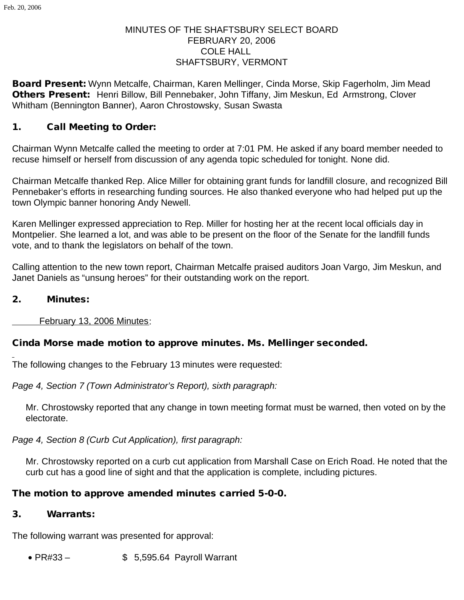# MINUTES OF THE SHAFTSBURY SELECT BOARD FEBRUARY 20, 2006 COLE HALL SHAFTSBURY, VERMONT

Board Present: Wynn Metcalfe, Chairman, Karen Mellinger, Cinda Morse, Skip Fagerholm, Jim Mead Others Present: Henri Billow, Bill Pennebaker, John Tiffany, Jim Meskun, Ed Armstrong, Clover Whitham (Bennington Banner), Aaron Chrostowsky, Susan Swasta

## 1. Call Meeting to Order:

Chairman Wynn Metcalfe called the meeting to order at 7:01 PM. He asked if any board member needed to recuse himself or herself from discussion of any agenda topic scheduled for tonight. None did.

Chairman Metcalfe thanked Rep. Alice Miller for obtaining grant funds for landfill closure, and recognized Bill Pennebaker's efforts in researching funding sources. He also thanked everyone who had helped put up the town Olympic banner honoring Andy Newell.

Karen Mellinger expressed appreciation to Rep. Miller for hosting her at the recent local officials day in Montpelier. She learned a lot, and was able to be present on the floor of the Senate for the landfill funds vote, and to thank the legislators on behalf of the town.

Calling attention to the new town report, Chairman Metcalfe praised auditors Joan Vargo, Jim Meskun, and Janet Daniels as "unsung heroes" for their outstanding work on the report.

#### 2. Minutes:

February 13, 2006 Minutes:

### Cinda Morse made motion to approve minutes. Ms. Mellinger seconded.

The following changes to the February 13 minutes were requested:

*Page 4, Section 7 (Town Administrator's Report), sixth paragraph:*

Mr. Chrostowsky reported that any change in town meeting format must be warned, then voted on by the electorate.

*Page 4, Section 8 (Curb Cut Application), first paragraph:*

Mr. Chrostowsky reported on a curb cut application from Marshall Case on Erich Road. He noted that the curb cut has a good line of sight and that the application is complete, including pictures.

### The motion to approve amended minutes carried 5-0-0.

### 3. Warrants:

The following warrant was presented for approval:

• PR#33 – \$ 5,595.64 Payroll Warrant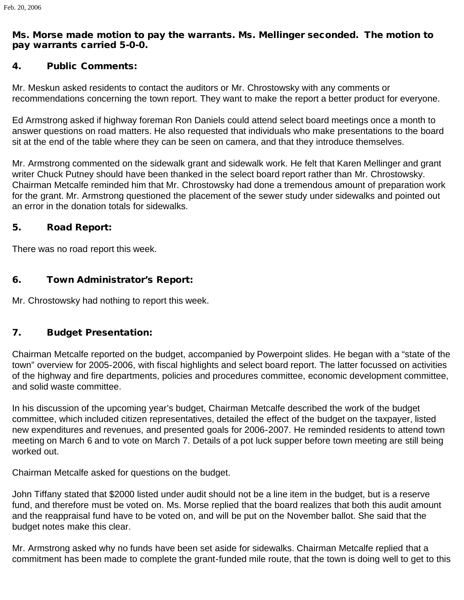## Ms. Morse made motion to pay the warrants. Ms. Mellinger seconded. The motion to pay warrants carried 5-0-0.

### 4. Public Comments:

Mr. Meskun asked residents to contact the auditors or Mr. Chrostowsky with any comments or recommendations concerning the town report. They want to make the report a better product for everyone.

Ed Armstrong asked if highway foreman Ron Daniels could attend select board meetings once a month to answer questions on road matters. He also requested that individuals who make presentations to the board sit at the end of the table where they can be seen on camera, and that they introduce themselves.

Mr. Armstrong commented on the sidewalk grant and sidewalk work. He felt that Karen Mellinger and grant writer Chuck Putney should have been thanked in the select board report rather than Mr. Chrostowsky. Chairman Metcalfe reminded him that Mr. Chrostowsky had done a tremendous amount of preparation work for the grant. Mr. Armstrong questioned the placement of the sewer study under sidewalks and pointed out an error in the donation totals for sidewalks.

### 5. Road Report:

There was no road report this week.

### 6. Town Administrator's Report:

Mr. Chrostowsky had nothing to report this week.

### 7. Budget Presentation:

Chairman Metcalfe reported on the budget, accompanied by Powerpoint slides. He began with a "state of the town" overview for 2005-2006, with fiscal highlights and select board report. The latter focussed on activities of the highway and fire departments, policies and procedures committee, economic development committee, and solid waste committee.

In his discussion of the upcoming year's budget, Chairman Metcalfe described the work of the budget committee, which included citizen representatives, detailed the effect of the budget on the taxpayer, listed new expenditures and revenues, and presented goals for 2006-2007. He reminded residents to attend town meeting on March 6 and to vote on March 7. Details of a pot luck supper before town meeting are still being worked out.

Chairman Metcalfe asked for questions on the budget.

John Tiffany stated that \$2000 listed under audit should not be a line item in the budget, but is a reserve fund, and therefore must be voted on. Ms. Morse replied that the board realizes that both this audit amount and the reappraisal fund have to be voted on, and will be put on the November ballot. She said that the budget notes make this clear.

Mr. Armstrong asked why no funds have been set aside for sidewalks. Chairman Metcalfe replied that a commitment has been made to complete the grant-funded mile route, that the town is doing well to get to this